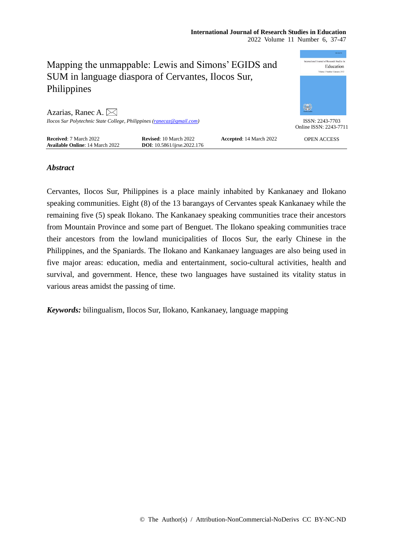

## *Abstract*

Cervantes, Ilocos Sur, Philippines is a place mainly inhabited by Kankanaey and Ilokano speaking communities. Eight (8) of the 13 barangays of Cervantes speak Kankanaey while the remaining five (5) speak Ilokano. The Kankanaey speaking communities trace their ancestors from Mountain Province and some part of Benguet. The Ilokano speaking communities trace their ancestors from the lowland municipalities of Ilocos Sur, the early Chinese in the Philippines, and the Spaniards. The Ilokano and Kankanaey languages are also being used in five major areas: education, media and entertainment, socio-cultural activities, health and survival, and government. Hence, these two languages have sustained its vitality status in various areas amidst the passing of time.

*Keywords:* bilingualism, Ilocos Sur, Ilokano, Kankanaey, language mapping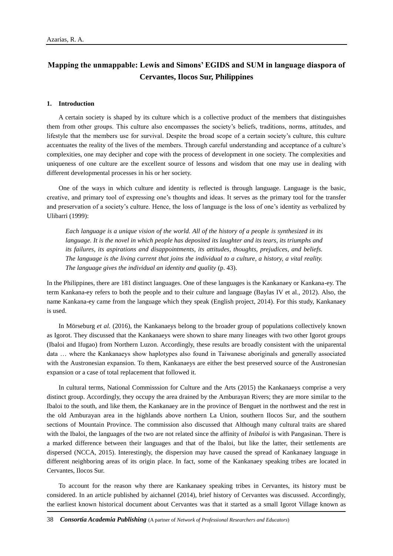# **Mapping the unmappable: Lewis and Simons' EGIDS and SUM in language diaspora of Cervantes, Ilocos Sur, Philippines**

#### **1. Introduction**

A certain society is shaped by its culture which is a collective product of the members that distinguishes them from other groups. This culture also encompasses the society's beliefs, traditions, norms, attitudes, and lifestyle that the members use for survival. Despite the broad scope of a certain society's culture, this culture accentuates the reality of the lives of the members. Through careful understanding and acceptance of a culture's complexities, one may decipher and cope with the process of development in one society. The complexities and uniqueness of one culture are the excellent source of lessons and wisdom that one may use in dealing with different developmental processes in his or her society.

One of the ways in which culture and identity is reflected is through language. Language is the basic, creative, and primary tool of expressing one's thoughts and ideas. It serves as the primary tool for the transfer and preservation of a society's culture. Hence, the loss of language is the loss of one's identity as verbalized by Ulibarri (1999):

*Each language is a unique vision of the world. All of the history of a people is synthesized in its language. It is the novel in which people has deposited its laughter and its tears, its triumphs and its failures, its aspirations and disappointments, its attitudes, thoughts, prejudices, and beliefs. The language is the living current that joins the individual to a culture, a history, a vital reality. The language gives the individual an identity and quality* (p. 43).

In the Philippines, there are 181 distinct languages. One of these languages is the Kankanaey or Kankana-ey. The term Kankana-ey refers to both the people and to their culture and language (Baylas IV et al., 2012). Also, the name Kankana-ey came from the language which they speak (English project, 2014). For this study, Kankanaey is used.

In Mörseburg *et al.* (2016), the Kankanaeys belong to the broader group of populations collectively known as Igorot. They discussed that the Kankanaeys were shown to share many lineages with two other Igorot groups (Ibaloi and Ifugao) from Northern Luzon. Accordingly, these results are broadly consistent with the uniparental data … where the Kankanaeys show haplotypes also found in Taiwanese aboriginals and generally associated with the Austronesian expansion. To them, Kankanaeys are either the best preserved source of the Austronesian expansion or a case of total replacement that followed it.

In cultural terms, National Commisssion for Culture and the Arts (2015) the Kankanaeys comprise a very distinct group. Accordingly, they occupy the area drained by the Amburayan Rivers; they are more similar to the Ibaloi to the south, and like them, the Kankanaey are in the province of Benguet in the northwest and the rest in the old Amburayan area in the highlands above northern La Union, southern Ilocos Sur, and the southern sections of Mountain Province. The commission also discussed that Although many cultural traits are shared with the Ibaloi, the languages of the two are not related since the affinity of *Inibaloi* is with Pangasinan. There is a marked difference between their languages and that of the Ibaloi, but like the latter, their settlements are dispersed (NCCA, 2015). Interestingly, the dispersion may have caused the spread of Kankanaey language in different neighboring areas of its origin place. In fact, some of the Kankanaey speaking tribes are located in Cervantes, Ilocos Sur.

To account for the reason why there are Kankanaey speaking tribes in Cervantes, its history must be considered. In an article published by aichannel (2014), brief history of Cervantes was discussed. Accordingly, the earliest known historical document about Cervantes was that it started as a small Igorot Village known as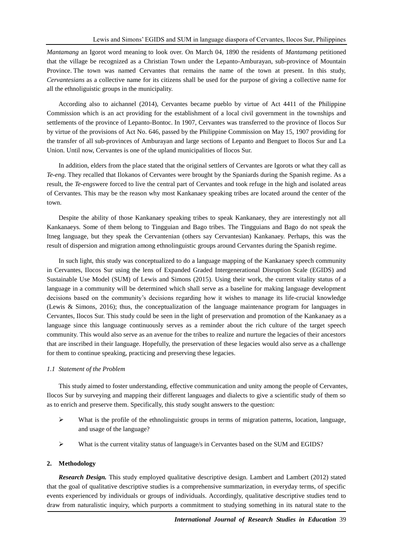*Mantamang* an Igorot word meaning to look over. On March 04, 1890 the residents of *Mantamang* petitioned that the village be recognized as a Christian Town under the Lepanto-Amburayan, sub-province of Mountain Province. The town was named Cervantes that remains the name of the town at present. In this study, *Cervantesians* as a collective name for its citizens shall be used for the purpose of giving a collective name for all the ethnoliguistic groups in the municipality.

According also to aichannel (2014), Cervantes became pueblo by virtue of Act 4411 of the Philippine Commission which is an act providing for the establishment of a local civil government in the townships and settlements of the province of Lepanto-Bontoc. In 1907, Cervantes was transferred to the province of Ilocos Sur by virtue of the provisions of Act No. 646, passed by the Philippine Commission on May 15, 1907 providing for the transfer of all sub-provinces of Amburayan and large sections of Lepanto and Benguet to Ilocos Sur and La Union. Until now, Cervantes is one of the upland municipalities of Ilocos Sur.

In addition, elders from the place stated that the original settlers of Cervantes are Igorots or what they call as *Te-eng.* They recalled that Ilokanos of Cervantes were brought by the Spaniards during the Spanish regime. As a result, the *Te-engs*were forced to live the central part of Cervantes and took refuge in the high and isolated areas of Cervantes. This may be the reason why most Kankanaey speaking tribes are located around the center of the town.

Despite the ability of those Kankanaey speaking tribes to speak Kankanaey, they are interestingly not all Kankanaeys. Some of them belong to Tingguian and Bago tribes. The Tingguians and Bago do not speak the Itneg language, but they speak the Cervantenian (others say Cervantesian) Kankanaey. Perhaps, this was the result of dispersion and migration among ethnolinguistic groups around Cervantes during the Spanish regime.

In such light, this study was conceptualized to do a language mapping of the Kankanaey speech community in Cervantes, Ilocos Sur using the lens of Expanded Graded Intergenerational Disruption Scale (EGIDS) and Sustainable Use Model (SUM) of Lewis and Simons (2015). Using their work, the current vitality status of a language in a community will be determined which shall serve as a baseline for making language development decisions based on the community's decisions regarding how it wishes to manage its life-crucial knowledge (Lewis & Simons, 2016); thus, the conceptualization of the language maintenance program for languages in Cervantes, Ilocos Sur. This study could be seen in the light of preservation and promotion of the Kankanaey as a language since this language continuously serves as a reminder about the rich culture of the target speech community. This would also serve as an avenue for the tribes to realize and nurture the legacies of their ancestors that are inscribed in their language. Hopefully, the preservation of these legacies would also serve as a challenge for them to continue speaking, practicing and preserving these legacies.

## *1.1 Statement of the Problem*

This study aimed to foster understanding, effective communication and unity among the people of Cervantes, Ilocos Sur by surveying and mapping their different languages and dialects to give a scientific study of them so as to enrich and preserve them. Specifically, this study sought answers to the question:

- $\triangleright$  What is the profile of the ethnolinguistic groups in terms of migration patterns, location, language, and usage of the language?
- $\triangleright$  What is the current vitality status of language/s in Cervantes based on the SUM and EGIDS?

## **2. Methodology**

*Research Design.* This study employed qualitative descriptive design. Lambert and Lambert (2012) stated that the goal of qualitative descriptive studies is a comprehensive summarization, in everyday terms, of specific events experienced by individuals or groups of individuals. Accordingly, qualitative descriptive studies tend to draw from naturalistic inquiry, which purports a commitment to studying something in its natural state to the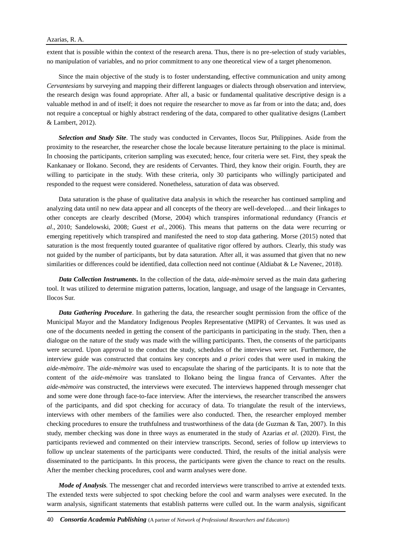extent that is possible within the context of the research arena. Thus, there is no pre-selection of study variables, no manipulation of variables, and no prior commitment to any one theoretical view of a target phenomenon.

Since the main objective of the study is to foster understanding, effective communication and unity among *Cervantesians* by surveying and mapping their different languages or dialects through observation and interview, the research design was found appropriate. After all, a basic or fundamental qualitative descriptive design is a valuable method in and of itself; it does not require the researcher to move as far from or into the data; and, does not require a conceptual or highly abstract rendering of the data, compared to other qualitative designs (Lambert & Lambert, 2012).

*Selection and Study Site.* The study was conducted in Cervantes, Ilocos Sur, Philippines. Aside from the proximity to the researcher, the researcher chose the locale because literature pertaining to the place is minimal. In choosing the participants, criterion sampling was executed; hence, four criteria were set. First, they speak the Kankanaey or Ilokano. Second, they are residents of Cervantes. Third, they know their origin. Fourth, they are willing to participate in the study. With these criteria, only 30 participants who willingly participated and responded to the request were considered. Nonetheless, saturation of data was observed.

Data saturation is the phase of qualitative data analysis in which the researcher has continued sampling and analyzing data until no new data appear and all concepts of the theory are well-developed….and their linkages to other concepts are clearly described (Morse, 2004) which transpires informational redundancy (Francis *et al*., 2010; Sandelowski, 2008; Guest *et al*., 2006). This means that patterns on the data were recurring or emerging repetitively which transpired and manifested the need to stop data gathering. Morse (2015) noted that saturation is the most frequently touted guarantee of qualitative rigor offered by authors. Clearly, this study was not guided by the number of participants, but by data saturation. After all, it was assumed that given that no new similarities or differences could be identified, data collection need not continue (Aldiabat & Le Navenec, 2018).

*Data Collection Instruments***.** In the collection of the data, *aide-mèmoire* served as the main data gathering tool. It was utilized to determine migration patterns, location, language, and usage of the language in Cervantes, Ilocos Sur.

*Data Gathering Procedure*. In gathering the data, the researcher sought permission from the office of the Municipal Mayor and the Mandatory Indigenous Peoples Representative (MIPR) of Cervantes. It was used as one of the documents needed in getting the consent of the participants in participating in the study. Then, then a dialogue on the nature of the study was made with the willing participants. Then, the consents of the participants were secured. Upon approval to the conduct the study, schedules of the interviews were set. Furthermore, the interview guide was constructed that contains key concepts and *a priori* codes that were used in making the *aide-mèmoire*. The *aide-mèmoire* was used to encapsulate the sharing of the participants. It is to note that the content of the *aide-mèmoire* was translated to Ilokano being the lingua franca of Cervantes. After the *aide-mèmoire* was constructed, the interviews were executed. The interviews happened through messenger chat and some were done through face-to-face interview. After the interviews, the researcher transcribed the answers of the participants, and did spot checking for accuracy of data. To triangulate the result of the interviews, interviews with other members of the families were also conducted. Then, the researcher employed member checking procedures to ensure the truthfulness and trustworthiness of the data (de Guzman & Tan, 2007). In this study, member checking was done in three ways as enumerated in the study of Azarias *et al*. (2020). First, the participants reviewed and commented on their interview transcripts. Second, series of follow up interviews to follow up unclear statements of the participants were conducted. Third, the results of the initial analysis were disseminated to the participants. In this process, the participants were given the chance to react on the results. After the member checking procedures, cool and warm analyses were done.

*Mode of Analysis*. The messenger chat and recorded interviews were transcribed to arrive at extended texts. The extended texts were subjected to spot checking before the cool and warm analyses were executed. In the warm analysis, significant statements that establish patterns were culled out. In the warm analysis, significant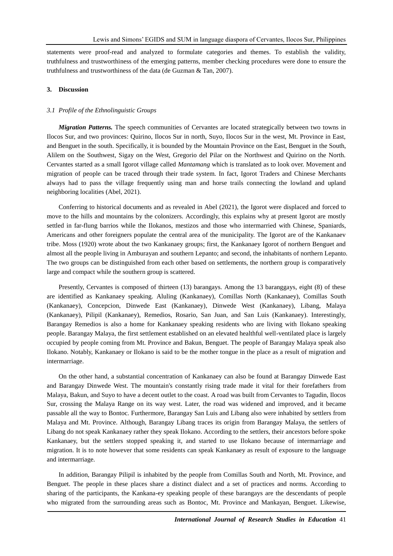statements were proof-read and analyzed to formulate categories and themes. To establish the validity, truthfulness and trustworthiness of the emerging patterns, member checking procedures were done to ensure the truthfulness and trustworthiness of the data (de Guzman & Tan, 2007).

## **3. Discussion**

#### *3.1 Profile of the Ethnolinguistic Groups*

*Migration Patterns*. The speech communities of Cervantes are located strategically between two towns in Ilocos Sur, and two provinces: Quirino, Ilocos Sur in north, Suyo, Ilocos Sur in the west, Mt. Province in East, and Benguet in the south. Specifically, it is bounded by the Mountain Province on the East, Benguet in the South, Alilem on the Southwest, Sigay on the West, Gregorio del Pilar on the Northwest and Quirino on the North. Cervantes started as a small Igorot village called *Mantamang* which is translated as to look over. Movement and migration of people can be traced through their trade system. In fact, Igorot Traders and Chinese Merchants always had to pass the village frequently using man and horse trails connecting the lowland and upland neighboring localities (Abel, 2021).

Conferring to historical documents and as revealed in Abel (2021), the Igorot were displaced and forced to move to the hills and mountains by the colonizers. Accordingly, this explains why at present Igorot are mostly settled in far-flung barrios while the Ilokanos, mestizos and those who intermarried with Chinese, Spaniards, Americans and other foreigners populate the central area of the municipality. The Igorot are of the Kankanaev tribe. Moss (1920) wrote about the two Kankanaey groups; first, the Kankanaey Igorot of northern Benguet and almost all the people living in Amburayan and southern Lepanto; and second, the inhabitants of northern Lepanto. The two groups can be distinguished from each other based on settlements, the northern group is comparatively large and compact while the southern group is scattered.

Presently, Cervantes is composed of thirteen (13) barangays. Among the 13 baranggays, eight (8) of these are identified as Kankanaey speaking. Aluling (Kankanaey), Comillas North (Kankanaey), Comillas South (Kankanaey), Concepcion, Dinwede East (Kankanaey), Dinwede West (Kankanaey), Libang, Malaya (Kankanaey), Pilipil (Kankanaey), Remedios, Rosario, San Juan, and San Luis (Kankanaey). Interestingly, Barangay Remedios is also a home for Kankanaey speaking residents who are living with Ilokano speaking people. Barangay Malaya, the first settlement established on an elevated healthful well-ventilated place is largely occupied by people coming from Mt. Province and Bakun, Benguet. The people of Barangay Malaya speak also Ilokano. Notably, Kankanaey or Ilokano is said to be the mother tongue in the place as a result of migration and intermarriage.

On the other hand, a substantial concentration of Kankanaey can also be found at Barangay Dinwede East and Barangay Dinwede West. The mountain's constantly rising trade made it vital for their forefathers from Malaya, Bakun, and Suyo to have a decent outlet to the coast. A road was built from Cervantes to Tagudin, Ilocos Sur, crossing the Malaya Range on its way west. Later, the road was widened and improved, and it became passable all the way to Bontoc. Furthermore, Barangay San Luis and Libang also were inhabited by settlers from Malaya and Mt. Province. Although, Barangay Libang traces its origin from Barangay Malaya, the settlers of Libang do not speak Kankanaey rather they speak Ilokano. According to the settlers, their ancestors before spoke Kankanaey, but the settlers stopped speaking it, and started to use Ilokano because of intermarriage and migration. It is to note however that some residents can speak Kankanaey as result of exposure to the language and intermarriage.

In addition, Barangay Pilipil is inhabited by the people from Comillas South and North, Mt. Province, and Benguet. The people in these places share a distinct dialect and a set of practices and norms. According to sharing of the participants, the Kankana-ey speaking people of these barangays are the descendants of people who migrated from the surrounding areas such as Bontoc, Mt. Province and Mankayan, Benguet. Likewise,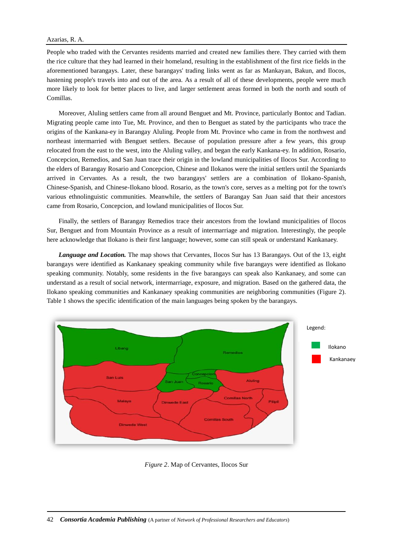#### Azarias, R. A.

People who traded with the Cervantes residents married and created new families there. They carried with them the rice culture that they had learned in their homeland, resulting in the establishment of the first rice fields in the aforementioned barangays. Later, these barangays' trading links went as far as Mankayan, Bakun, and Ilocos, hastening people's travels into and out of the area. As a result of all of these developments, people were much more likely to look for better places to live, and larger settlement areas formed in both the north and south of Comillas.

Moreover, Aluling settlers came from all around Benguet and Mt. Province, particularly Bontoc and Tadian. Migrating people came into Tue, Mt. Province, and then to Benguet as stated by the participants who trace the origins of the Kankana-ey in Barangay Aluling. People from Mt. Province who came in from the northwest and northeast intermarried with Benguet settlers. Because of population pressure after a few years, this group relocated from the east to the west, into the Aluling valley, and began the early Kankana-ey. In addition, Rosario, Concepcion, Remedios, and San Juan trace their origin in the lowland municipalities of Ilocos Sur. According to the elders of Barangay Rosario and Concepcion, Chinese and Ilokanos were the initial settlers until the Spaniards arrived in Cervantes. As a result, the two barangays' settlers are a combination of Ilokano-Spanish, Chinese-Spanish, and Chinese-Ilokano blood. Rosario, as the town's core, serves as a melting pot for the town's various ethnolinguistic communities. Meanwhile, the settlers of Barangay San Juan said that their ancestors came from Rosario, Concepcion, and lowland municipalities of Ilocos Sur.

Finally, the settlers of Barangay Remedios trace their ancestors from the lowland municipalities of Ilocos Sur, Benguet and from Mountain Province as a result of intermarriage and migration. Interestingly, the people here acknowledge that Ilokano is their first language; however, some can still speak or understand Kankanaey.

*Language and Location.* The map shows that Cervantes, Ilocos Sur has 13 Barangays. Out of the 13, eight barangays were identified as Kankanaey speaking community while five barangays were identified as Ilokano speaking community. Notably, some residents in the five barangays can speak also Kankanaey, and some can understand as a result of social network, intermarriage, exposure, and migration. Based on the gathered data, the Ilokano speaking communities and Kankanaey speaking communities are neighboring communities (Figure 2). Table 1 shows the specific identification of the main languages being spoken by the barangays.



*Figure 2*. Map of Cervantes, Ilocos Sur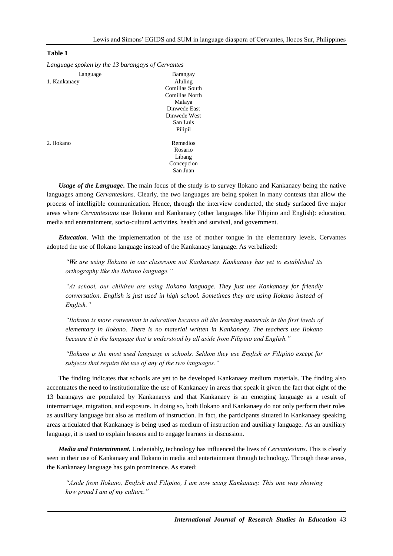## **Table 1**

| Language     | Barangay       |
|--------------|----------------|
| 1. Kankanaey | Aluling        |
|              | Comillas South |
|              | Comillas North |
|              | Malaya         |
|              | Dinwede East   |
|              | Dinwede West   |
|              | San Luis       |
|              | Pilipil        |
| 2. Ilokano   | Remedios       |
|              | Rosario        |
|              | Libang         |
|              | Concepcion     |
|              | San Juan       |

*Language spoken by the 13 barangays of Cervantes*

*Usage of the Language***.** The main focus of the study is to survey Ilokano and Kankanaey being the native languages among *Cervantesians*. Clearly, the two languages are being spoken in many contexts that allow the process of intelligible communication. Hence, through the interview conducted, the study surfaced five major areas where *Cervantesians* use Ilokano and Kankanaey (other languages like Filipino and English): education, media and entertainment, socio-cultural activities, health and survival, and government.

*Education.* With the implementation of the use of mother tongue in the elementary levels, Cervantes adopted the use of Ilokano language instead of the Kankanaey language. As verbalized:

*"We are using Ilokano in our classroom not Kankanaey. Kankanaey has yet to established its orthography like the Ilokano language."*

*"At school, our children are using Ilokano language. They just use Kankanaey for friendly conversation. English is just used in high school. Sometimes they are using Ilokano instead of English."*

*"Ilokano is more convenient in education because all the learning materials in the first levels of elementary in Ilokano. There is no material written in Kankanaey. The teachers use Ilokano because it is the language that is understood by all aside from Filipino and English."*

*"Ilokano is the most used language in schools. Seldom they use English or Filipino except for subjects that require the use of any of the two languages."*

The finding indicates that schools are yet to be developed Kankanaey medium materials. The finding also accentuates the need to institutionalize the use of Kankanaey in areas that speak it given the fact that eight of the 13 barangays are populated by Kankanaeys and that Kankanaey is an emerging language as a result of intermarriage, migration, and exposure. In doing so, both Ilokano and Kankanaey do not only perform their roles as auxiliary language but also as medium of instruction. In fact, the participants situated in Kankanaey speaking areas articulated that Kankanaey is being used as medium of instruction and auxiliary language. As an auxiliary language, it is used to explain lessons and to engage learners in discussion.

*Media and Entertainment.* Undeniably, technology has influenced the lives of *Cervantesians*. This is clearly seen in their use of Kankanaey and Ilokano in media and entertainment through technology. Through these areas, the Kankanaey language has gain prominence. As stated:

*"Aside from Ilokano, English and Filipino, I am now using Kankanaey. This one way showing how proud I am of my culture."*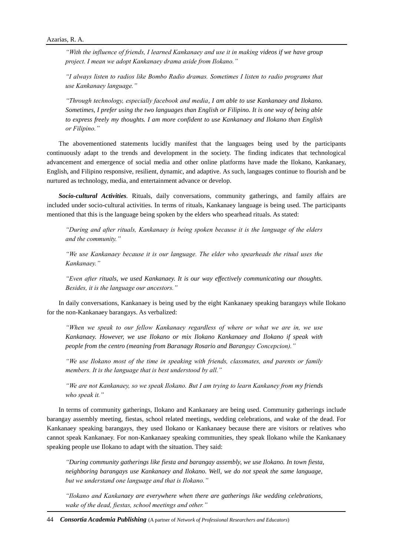*"With the influence of friends, I learned Kankanaey and use it in making videos if we have group project. I mean we adopt Kankanaey drama aside from Ilokano."*

*"I always listen to radios like Bombo Radio dramas. Sometimes I listen to radio programs that use Kankanaey language."*

*"Through technology, especially facebook and media, I am able to use Kankanaey and Ilokano. Sometimes, I prefer using the two languages than English or Filipino. It is one way of being able to express freely my thoughts. I am more confident to use Kankanaey and Ilokano than English or Filipino."*

The abovementioned statements lucidly manifest that the languages being used by the participants continuously adapt to the trends and development in the society. The finding indicates that technological advancement and emergence of social media and other online platforms have made the Ilokano, Kankanaey, English, and Filipino responsive, resilient, dynamic, and adaptive. As such, languages continue to flourish and be nurtured as technology, media, and entertainment advance or develop.

*Socio-cultural Activities.* Rituals, daily conversations, community gatherings, and family affairs are included under socio-cultural activities. In terms of rituals, Kankanaey language is being used. The participants mentioned that this is the language being spoken by the elders who spearhead rituals. As stated:

*"During and after rituals, Kankanaey is being spoken because it is the language of the elders and the community."*

*"We use Kankanaey because it is our language. The elder who spearheads the ritual uses the Kankanaey."*

*"Even after rituals, we used Kankanaey. It is our way effectively communicating our thoughts. Besides, it is the language our ancestors."*

In daily conversations, Kankanaey is being used by the eight Kankanaey speaking barangays while Ilokano for the non-Kankanaey barangays. As verbalized:

*"When we speak to our fellow Kankanaey regardless of where or what we are in, we use Kankanaey. However, we use Ilokano or mix Ilokano Kankanaey and Ilokano if speak with people from the centro (meaning from Baranagy Rosario and Barangay Concepcion)."*

*"We use Ilokano most of the time in speaking with friends, classmates, and parents or family members. It is the language that is best understood by all."*

*"We are not Kankanaey, so we speak Ilokano. But I am trying to learn Kankaney from my friends who speak it."*

In terms of community gatherings, Ilokano and Kankanaey are being used. Community gatherings include barangay assembly meeting, fiestas, school related meetings, wedding celebrations, and wake of the dead. For Kankanaey speaking barangays, they used Ilokano or Kankanaey because there are visitors or relatives who cannot speak Kankanaey. For non-Kankanaey speaking communities, they speak Ilokano while the Kankanaey speaking people use Ilokano to adapt with the situation. They said:

*"During community gatherings like fiesta and barangay assembly, we use Ilokano. In town fiesta, neighboring barangays use Kankanaey and Ilokano. Well, we do not speak the same language, but we understand one language and that is Ilokano."*

*"Ilokano and Kankanaey are everywhere when there are gatherings like wedding celebrations, wake of the dead, fiestas, school meetings and other."*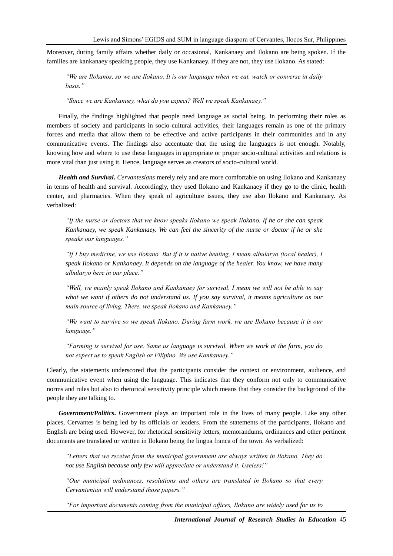Moreover, during family affairs whether daily or occasional, Kankanaey and Ilokano are being spoken. If the families are kankanaey speaking people, they use Kankanaey. If they are not, they use Ilokano. As stated:

*"We are Ilokanos, so we use Ilokano. It is our language when we eat, watch or converse in daily basis."*

*"Since we are Kankanaey, what do you expect? Well we speak Kankanaey."*

Finally, the findings highlighted that people need language as social being. In performing their roles as members of society and participants in socio-cultural activities, their languages remain as one of the primary forces and media that allow them to be effective and active participants in their communities and in any communicative events. The findings also accentuate that the using the languages is not enough. Notably, knowing how and where to use these languages in appropriate or proper socio-cultural activities and relations is more vital than just using it. Hence, language serves as creators of socio-cultural world.

*Health and Survival***.** *Cervantesians* merely rely and are more comfortable on using Ilokano and Kankanaey in terms of health and survival. Accordingly, they used Ilokano and Kankanaey if they go to the clinic, health center, and pharmacies. When they speak of agriculture issues, they use also Ilokano and Kankanaey. As verbalized:

*"If the nurse or doctors that we know speaks Ilokano we speak Ilokano. If he or she can speak Kankanaey, we speak Kankanaey. We can feel the sincerity of the nurse or doctor if he or she speaks our languages."*

*"If I buy medicine, we use Ilokano. But if it is native healing, I mean albularyo (local healer), I speak Ilokano or Kankanaey. It depends on the language of the healer. You know, we have many albularyo here in our place."*

*"Well, we mainly speak Ilokano and Kankanaey for survival. I mean we will not be able to say what we want if others do not understand us. If you say survival, it means agriculture as our main source of living. There, we speak Ilokano and Kankanaey."*

*"We want to survive so we speak Ilokano. During farm work, we use Ilokano because it is our language."*

*"Farming is survival for use. Same us language is survival. When we work at the farm, you do not expect us to speak English or Filipino. We use Kankanaey."*

Clearly, the statements underscored that the participants consider the context or environment, audience, and communicative event when using the language. This indicates that they conform not only to communicative norms and rules but also to rhetorical sensitivity principle which means that they consider the background of the people they are talking to.

*Government/Politics***.** Government plays an important role in the lives of many people. Like any other places, Cervantes is being led by its officials or leaders. From the statements of the participants, Ilokano and English are being used. However, for rhetorical sensitivity letters, memorandums, ordinances and other pertinent documents are translated or written in Ilokano being the lingua franca of the town. As verbalized:

*"Letters that we receive from the municipal government are always written in Ilokano. They do not use English because only few will appreciate or understand it. Useless!"*

*"Our municipal ordinances, resolutions and others are translated in Ilokano so that every Cervantenian will understand those papers."*

*"For important documents coming from the municipal offices, Ilokano are widely used for us to*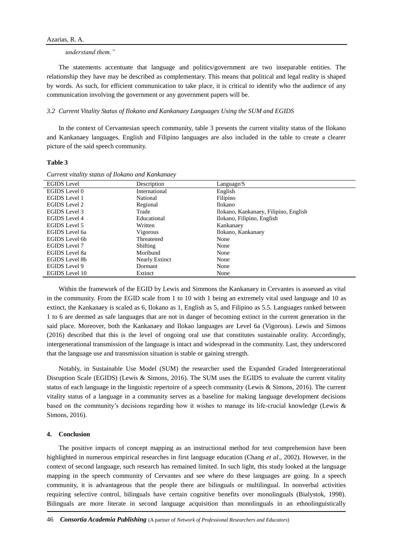#### *understand them."*

The statements accentuate that language and politics/government are two inseparable entities. The relationship they have may be described as complementary. This means that political and legal reality is shaped by words. As such, for efficient communication to take place, it is critical to identify who the audience of any communication involving the government or any government papers will be.

## *3.2 Current Vitality Status of Ilokano and Kankanaey Languages Using the SUM and EGIDS*

In the context of Cervantesian speech community, table 3 presents the current vitality status of the Ilokano and Kankanaey languages. English and Filipino languages are also included in the table to create a clearer picture of the said speech community.

#### **Table 3**

| <b>EGIDS</b> Level    | Description     | Language/S                            |
|-----------------------|-----------------|---------------------------------------|
| EGIDS Level 0         | International   | English                               |
| <b>EGIDS</b> Level 1  | National        | Filipino                              |
| <b>EGIDS</b> Level 2  | Regional        | Ilokano                               |
| EGIDS Level 3         | Trade           | Ilokano, Kankanaey, Filipino, English |
| <b>EGIDS</b> Level 4  | Educational     | Ilokano, Filipino, English            |
| <b>EGIDS</b> Level 5  | Written         | Kankanaey                             |
| EGIDS Level 6a        | Vigorous        | Ilokano, Kankanaey                    |
| EGIDS Level 6b        | Threatened      | None                                  |
| <b>EGIDS</b> Level 7  | <b>Shifting</b> | None                                  |
| <b>EGIDS</b> Level 8a | Moribund        | None                                  |
| <b>EGIDS</b> Level 8b | Nearly Extinct  | None                                  |
| <b>EGIDS</b> Level 9  | Dormant         | None                                  |
| EGIDS Level 10        | Extinct         | None                                  |

*Current vitality status of Ilokano and Kankanaey*

Within the framework of the EGID by Lewis and Simmons the Kankanaey in Cervantes is assessed as vital in the community. From the EGID scale from 1 to 10 with 1 being an extremely vital used language and 10 as extinct, the Kankanaey is scaled as 6, Ilokano as 1, English as 5, and Filipino as 5.5. Languages ranked between 1 to 6 are deemed as safe languages that are not in danger of becoming extinct in the current generation in the said place. Moreover, both the Kankanaey and Ilokao languages are Level 6a (Vigorous). Lewis and Simons (2016) described that this is the level of ongoing oral use that constitutes sustainable orality. Accordingly, intergenerational transmission of the language is intact and widespread in the community. Last, they underscored that the language use and transmission situation is stable or gaining strength.

Notably, in Sustainable Use Model (SUM) the researcher used the Expanded Graded Intergenerational Disruption Scale (EGIDS) (Lewis & Simons, 2016). The SUM uses the EGIDS to evaluate the current vitality status of each language in the linguistic repertoire of a speech community (Lewis & Simons, 2016). The current vitality status of a language in a community serves as a baseline for making language development decisions based on the community's decisions regarding how it wishes to manage its life-crucial knowledge (Lewis & Simons, 2016).

#### **4. Conclusion**

The positive impacts of concept mapping as an instructional method for text comprehension have been highlighted in numerous empirical researches in first language education (Chang *et al*., 2002). However, in the context of second language, such research has remained limited. In such light, this study looked at the language mapping in the speech community of Cervantes and see where do these languages are going. In a speech community, it is advantageous that the people there are bilinguals or multilingual. In nonverbal activities requiring selective control, bilinguals have certain cognitive benefits over monolinguals (Bialystok, 1998). Bilinguals are more literate in second language acquisition than monolinguals in an ethnolinguistically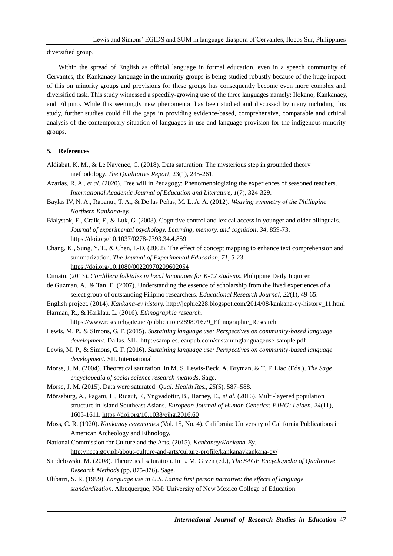diversified group.

Within the spread of English as official language in formal education, even in a speech community of Cervantes, the Kankanaey language in the minority groups is being studied robustly because of the huge impact of this on minority groups and provisions for these groups has consequently become even more complex and diversified task. This study witnessed a speedily-growing use of the three languages namely: Ilokano, Kankanaey, and Filipino. While this seemingly new phenomenon has been studied and discussed by many including this study, further studies could fill the gaps in providing evidence-based, comprehensive, comparable and critical analysis of the contemporary situation of languages in use and language provision for the indigenous minority groups.

#### **5. References**

- Aldiabat, K. M., & Le Navenec, C. (2018). Data saturation: The mysterious step in grounded theory methodology. *The Qualitative Report*, 23(1), 245-261.
- Azarias, R. A., *et al*. (2020). Free will in Pedagogy: Phenomenologizing the experiences of seasoned teachers. *International Academic Journal of Education and Literature*, *1*(7), 324-329.
- Baylas IV, N. A., Rapanut, T. A., & De las Peñas, M. L. A. A. (2012). *Weaving symmetry of the Philippine Northern Kankana-ey.*
- Bialystok, E., Craik, F., & Luk, G. (2008). Cognitive control and lexical access in younger and older bilinguals. *Journal of experimental psychology. Learning, memory, and cognition*, *34*, 859-73. <https://doi.org/10.1037/0278-7393.34.4.859>
- Chang, K., Sung, Y. T., & Chen, I.-D. (2002). The effect of concept mapping to enhance text comprehension and summarization. *The Journal of Experimental Education, 71*, 5-23. <https://doi.org/10.1080/00220970209602054>
- Cimatu. (2013). *Cordillera folktales in local languages for K-12 students*. Philippine Daily Inquirer.
- de Guzman, A., & Tan, E. (2007). Understanding the essence of scholarship from the lived experiences of a select group of outstanding Filipino researchers. *Educational Research Journal*, *22*(1), 49-65.
- English project. (2014). *Kankana-ey histor*y. [http://jephie228.blogspot.com/2014/08/kankana-ey-history\\_11.html](http://jephie228.blogspot.com/2014/08/kankana-ey-history_11.html)
- Harman, R., & Harklau, L. (2016). *Ethnographic research*.
	- [https://www.researchgate.net/publication/289801679\\_Ethnographic\\_Research](https://www.researchgate.net/publication/289801679_Ethnographic_Research)
- Lewis, M. P., & Simons, G. F. (2015). *Sustaining language use: Perspectives on community-based language development*. Dallas. SIL.<http://samples.leanpub.com/sustaininglanguageuse-sample.pdf>
- Lewis, M. P., & Simons, G. F. (2016). *Sustaining language use: Perspectives on community-based language development.* SIL International.
- Morse, J. M. (2004). Theoretical saturation. In M. S. Lewis-Beck, A. Bryman, & T. F. Liao (Eds.), *The Sage encyclopedia of social science research methods*. Sage.
- Morse, J. M. (2015). Data were saturated. *Qual. Health Res., 25*(5), 587–588.
- Mörseburg, A., Pagani, L., Ricaut, F., Yngvadottir, B., Harney, E., *et al*. (2016). Multi-layered population structure in Island Southeast Asians. *European Journal of Human Genetics: EJHG; Leiden, 24*(11), 1605-1611.<https://doi.org/10.1038/ejhg.2016.60>
- Moss, C. R. (1920). *Kankanay ceremonies* (Vol. 15, No. 4). California: University of California Publications in American Archeology and Ethnology.
- National Commission for Culture and the Arts. (2015). *Kankanay/Kankana-Ey*. <http://ncca.gov.ph/about-culture-and-arts/culture-profile/kankanaykankana-ey/>
- Sandelowski, M. (2008). Theoretical saturation. In L. M. Given (ed.), *The SAGE Encyclopedia of Qualitative Research Methods* (pp. 875-876). Sage.
- Ulibarri, S. R. (1999). *Language use in U.S. Latina first person narrative: the effects of language standardization*. Albuquerque, NM: University of New Mexico College of Education.